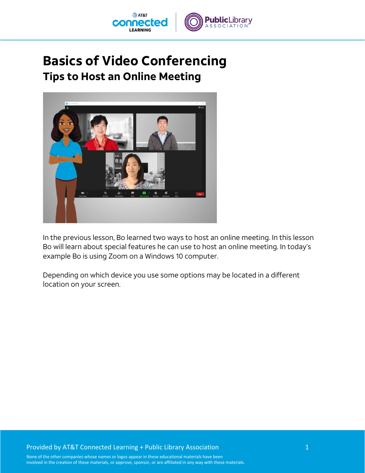

## **Basics of Video Conferencing Tips to Host an Online Meeting**



In the previous lesson, Bo learned two ways to host an online meeting. In this lesson Bo will learn about special features he can use to host an online meeting. In today's example Bo is using Zoom on a Windows 10 computer.

Depending on which device you use some options may be located in a different location on your screen.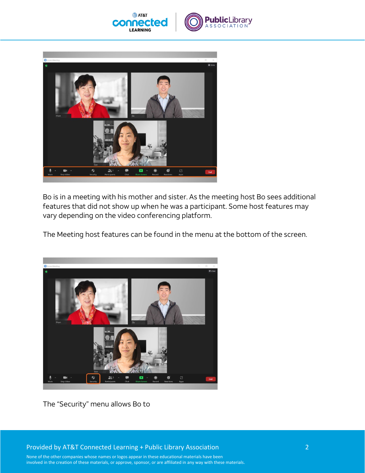



Bo is in a meeting with his mother and sister. As the meeting host Bo sees additional features that did not show up when he was a participant. Some host features may vary depending on the video conferencing platform.

The Meeting host features can be found in the menu at the bottom of the screen.



The "Security" menu allows Bo to

Provided by AT&T Connected Learning + Public Library Association 2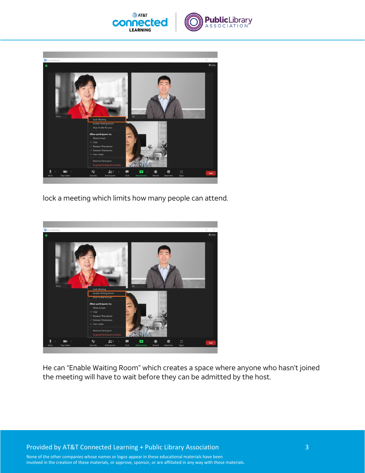



lock a meeting which limits how many people can attend.



He can "Enable Waiting Room" which creates a space where anyone who hasn't joined the meeting will have to wait before they can be admitted by the host.

Provided by AT&T Connected Learning + Public Library Association 3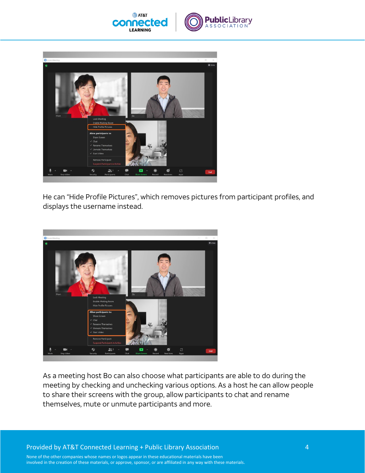



He can "Hide Profile Pictures", which removes pictures from participant profiles, and displays the username instead.



As a meeting host Bo can also choose what participants are able to do during the meeting by checking and unchecking various options. As a host he can allow people to share their screens with the group, allow participants to chat and rename themselves, mute or unmute participants and more.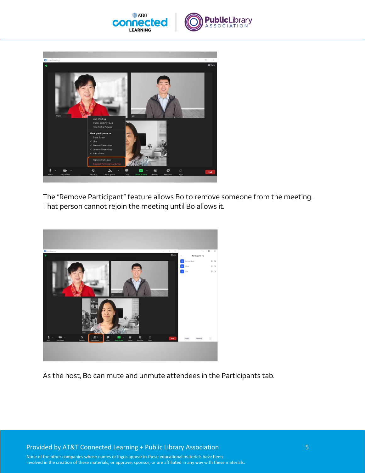



The "Remove Participant" feature allows Bo to remove someone from the meeting. That person cannot rejoin the meeting until Bo allows it.



As the host, Bo can mute and unmute attendees in the Participants tab.

Provided by AT&T Connected Learning + Public Library Association 5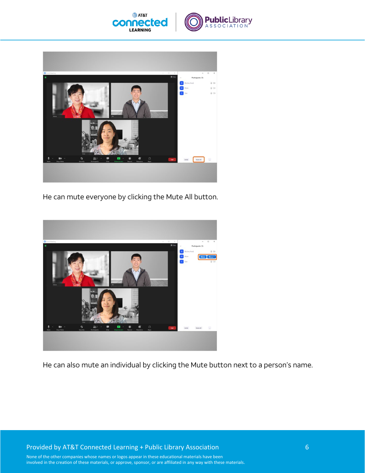



He can mute everyone by clicking the Mute All button.



He can also mute an individual by clicking the Mute button next to a person's name.

Provided by AT&T Connected Learning + Public Library Association 6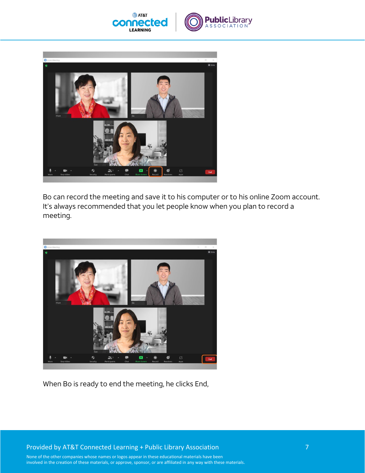



Bo can record the meeting and save it to his computer or to his online Zoom account. It's always recommended that you let people know when you plan to record a meeting.



When Bo is ready to end the meeting, he clicks End,

Provided by AT&T Connected Learning + Public Library Association 7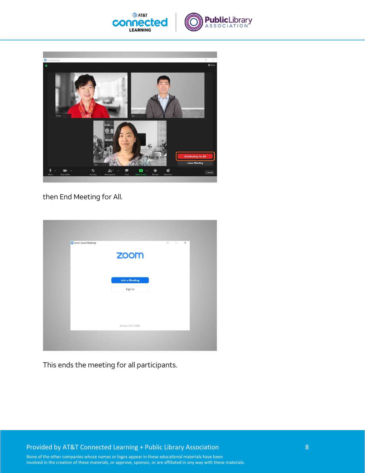



then End Meeting for All.

| Zoom Cloud Meetings | zoom                  | $\Box$<br>$\times$<br>$\overline{\phantom{0}}$ |
|---------------------|-----------------------|------------------------------------------------|
|                     |                       |                                                |
|                     | <b>Join a Meeting</b> |                                                |
|                     | Sign In               |                                                |
|                     |                       |                                                |
|                     | Version: 5.9.1 (2581) |                                                |
|                     |                       |                                                |

This ends the meeting for all participants.

Provided by AT&T Connected Learning + Public Library Association 8